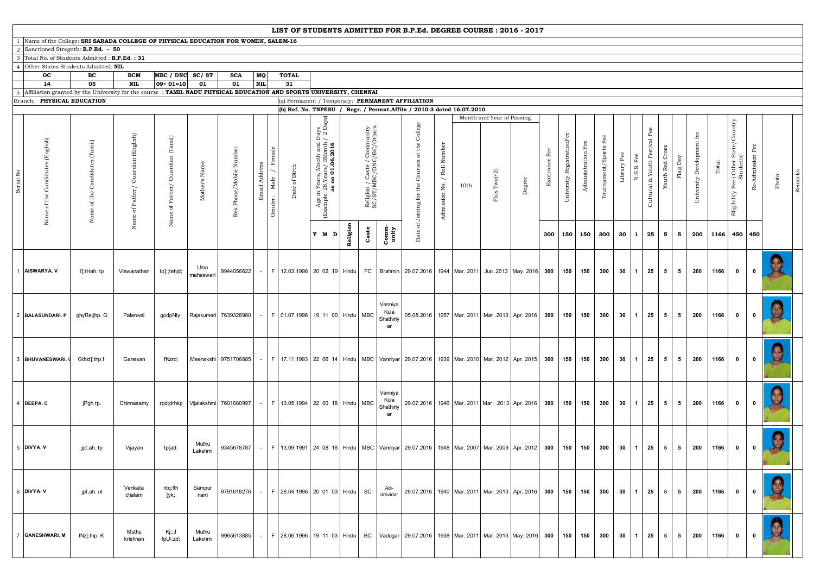## 1 Name of the College: **SRI SARADA COLLEGE OF PHYSICAL EDUCATION FOR WOMEN, SALEM-16**

2 Sanctioned Stregnth: **B.P.Ed. - 50** 

3 Total No. of Students Admitted : **B.P.Ed. : 31** 

4 Other States Students Admitted: **NIL**

|                                                                                                                            | oc                                                                                                                         | BC                                                                         | <b>BCM</b>                 | $MBC / DNC$ SC/ST                                               |                  | <b>SCA</b>                 | MQ            | <b>TOTAL</b>                                                                                                                                  |                                                                                                                                           |          |                                                         |                                    |                                                                                         |  |      |                                                |        |           |                               |                |                          |                  |                   |                                                                    |                |                                       |                  |                                                      |                                |       |         |
|----------------------------------------------------------------------------------------------------------------------------|----------------------------------------------------------------------------------------------------------------------------|----------------------------------------------------------------------------|----------------------------|-----------------------------------------------------------------|------------------|----------------------------|---------------|-----------------------------------------------------------------------------------------------------------------------------------------------|-------------------------------------------------------------------------------------------------------------------------------------------|----------|---------------------------------------------------------|------------------------------------|-----------------------------------------------------------------------------------------|--|------|------------------------------------------------|--------|-----------|-------------------------------|----------------|--------------------------|------------------|-------------------|--------------------------------------------------------------------|----------------|---------------------------------------|------------------|------------------------------------------------------|--------------------------------|-------|---------|
|                                                                                                                            | 14<br>5 Affiliation granted by the University for the course: TAMIL NADU PHYSICAL EDUCATION AND SPORTS UNIVERSITY, CHENNAI | 05                                                                         | <b>NIL</b>                 | $ 09+01=10 $                                                    | 01               | 01                         | <b>NIL</b>    | 31                                                                                                                                            |                                                                                                                                           |          |                                                         |                                    |                                                                                         |  |      |                                                |        |           |                               |                |                          |                  |                   |                                                                    |                |                                       |                  |                                                      |                                |       |         |
|                                                                                                                            | Branch: PHYSICAL EDUCATION                                                                                                 |                                                                            |                            |                                                                 |                  |                            |               |                                                                                                                                               |                                                                                                                                           |          |                                                         |                                    |                                                                                         |  |      |                                                |        |           |                               |                |                          |                  |                   |                                                                    |                |                                       |                  |                                                      |                                |       |         |
| (a) Permanent / Temporary: PERMANENT AFFILIATION<br>(b) Ref. No. TNPESU / Regr. / Permnt. Affiln / 2010-3 dated 16.07.2010 |                                                                                                                            |                                                                            |                            |                                                                 |                  |                            |               |                                                                                                                                               |                                                                                                                                           |          |                                                         |                                    |                                                                                         |  |      |                                                |        |           |                               |                |                          |                  |                   |                                                                    |                |                                       |                  |                                                      |                                |       |         |
| Σ<br>Serial                                                                                                                | $\mathbb{E}$<br>ndidat<br>ී                                                                                                | $\left( \mathrm{Tamil}\right)$<br>੶ਜ਼<br>₩<br>ď<br>$\overline{\mathbf{z}}$ | (English)<br>ど<br>්ට්<br>↻ | $(Tami)$<br>ardian<br>Ğ<br>$_{\rm Father}/$<br>$\sigma$<br>Name | $\mathbf{z}$     | Number<br>Mobile<br>Phone/ | Addi<br>Email | Birth<br>Date of 1                                                                                                                            | yay.<br>Day<br>କି ଦ<br>ರ<br>ಀ<br>01.06.201<br>$\mathbb{R}^{\circ}$<br>Vears,<br>28.Yea<br>$\mathbf{s}$<br>as<br>as<br>Age in<br>umple: '. |          | Religion / Caste / Community<br>SC/ST/MBC/DNC/BC/Others |                                    | College<br>$\th$ e<br>$\operatorname{\mathsf{at}}$<br>w<br>the Course<br>of Joining for |  | 10th | Month and Year of Passing<br>$Two(+2)$<br>Plus | Degree | Exntrance | RegistrationFee<br>University | Administration | 匞<br>Spo:<br>Tournament/ | 匞<br>Libr;       | Fee<br>Ωj<br>N.S. | ಸ<br>Cro<br>ΕŰ<br>Youth <sup>:</sup><br>Youth Red<br>Cultural $\&$ | Ă<br>Flag      | fee $\,$<br>Development<br>University | Total            | (Other State/Country<br>Students)<br>Eligibility Fee | 匤<br>-Admission 1<br><u>ക്</u> | Photo | Remarks |
|                                                                                                                            | Ž.                                                                                                                         |                                                                            | Nam                        |                                                                 |                  |                            |               |                                                                                                                                               | Y M D                                                                                                                                     | Religion | Caste                                                   | Comm.<br>unity                     | Date                                                                                    |  |      |                                                |        | 300       |                               | 150 150        | 300                      | $30 \mid 1 \mid$ |                   | 25<br>5                                                            | 5              | 200                                   | 1166   450   450 |                                                      |                                |       |         |
|                                                                                                                            | <b>AISWARYA. V</b>                                                                                                         | I];tHah.tp                                                                 | Viswanathan                | tp];;tehjd;                                                     | Uma<br>mahesweri | 9944056622                 |               | -   F   12.03.1996   20 02 19   Hindu   FC   Brahmin   29.07.2016   1944   Mar. 2011   Jun 2013   May. 2016   300                             |                                                                                                                                           |          |                                                         |                                    |                                                                                         |  |      |                                                |        |           |                               | 150 150        | 300                      | 30               | $\overline{1}$    | 25<br>5                                                            | 5              | 200                                   | 1166 I           | $\bullet$                                            |                                |       |         |
|                                                                                                                            | 2 BALASUNDARI. P                                                                                                           | ghyRe;jhp. G                                                               | Palanivel                  | godpNty;                                                        |                  | Rajakumari 7639328980      |               | -   F   01.07.1996   19 11 00   Hindu   MBC                                                                                                   |                                                                                                                                           |          |                                                         | Vanniya<br>Kula<br>Shathiriy       | 05.08.2016   1957   Mar. 2011   Mar. 2013   Apr. 2016   300                             |  |      |                                                |        |           |                               | 150 150        | $300$ 30 1               |                  |                   | 25<br>5 <sub>1</sub>                                               | 5              | 200                                   | 1166             | $\mathbf{0}$                                         | $\mathbf{0}$                   |       |         |
|                                                                                                                            | 3 BHUVANESWARI.                                                                                                            | GtNd];thp.f                                                                | Ganesan                    | fNzrd;                                                          |                  |                            |               | Meenakshi   9751706885   -   F   17.11.1993   22 06 14   Hindu   MBC   Vanniyar   29.07.2016   1939   Mar. 2010   Mar. 2012   Apr. 2015   300 |                                                                                                                                           |          |                                                         |                                    |                                                                                         |  |      |                                                |        |           |                               | 150 150        | 300                      | $30$ 1           |                   | 25<br>5                                                            | - 5            | 200                                   | 1166             | $\mathbf{0}$                                         | $\mathbf 0$                    |       |         |
|                                                                                                                            | 4 DEEPA. C                                                                                                                 | jPgh rp.                                                                   | Chinnasamy                 |                                                                 |                  |                            |               | rpd;drhkp Vijalakshmi 7601080997   -   F   13.05.1994   22 00 18   Hindu   MBC                                                                |                                                                                                                                           |          |                                                         | Vanniya<br>Kula<br>Shathiriy<br>ar | 29.07.2016   1946   Mar. 2011   Mar. 2013   Apr. 2016   300   150   150                 |  |      |                                                |        |           |                               |                | $300$ 30 1               |                  |                   | 25                                                                 |                | $5 \mid 5 \mid 200 \mid$              | $1166$ 0         |                                                      | $\overline{\mathbf{0}}$        |       |         |
|                                                                                                                            | 5 DIVYA. V                                                                                                                 | jpt;ah. tp                                                                 | Vijayan                    | tp[ad;                                                          | Muthu<br>Lakshmi |                            |               | 9345678787   -   F   13.09.1991   24 08 18   Hindu   MBC   Vanniyar   29.07.2016   1948   Mar. 2007   Mar. 2009   Apr. 2012   300             |                                                                                                                                           |          |                                                         |                                    |                                                                                         |  |      |                                                |        |           |                               | 150 150        | 300                      | 30   1           |                   | 25<br>5 <sub>1</sub>                                               | 5 <sub>5</sub> | 200                                   | 1166             | $\bullet$                                            | $\mathbf{0}$                   |       |         |
|                                                                                                                            | 6 DIVYA. V                                                                                                                 | jpt;ah.nt                                                                  | Venkata<br>chalam          | ntq;flh<br>[yk;                                                 | Sampur<br>nam    |                            |               | 9791618276 - F 28.04.1996 20 01 03 Hindu SC                                                                                                   |                                                                                                                                           |          |                                                         | -Adi<br>dravidar                   | 29.07.2016   1940   Mar. 2011   Mar. 2013   Apr. 2016   300   150   150                 |  |      |                                                |        |           |                               |                | $300$ 30 1               |                  |                   | 25                                                                 | $5 \quad 5$    | 200                                   | 1166             | $\overline{\mathbf{0}}$                              | $\mathbf{0}$                   |       |         |
|                                                                                                                            | 7 GANESHWARI. M                                                                                                            | fNz];thp. K                                                                | Muthu<br>krishnan          | Kj;;J<br>fpU\;zd;                                               | Muthu<br>Lakshmi |                            |               | 9965613885   -   F   28.06.1996   19 11 03   Hindu   BC   Vadugar   29.07.2016   1938   Mar. 2011   Mar. 2013   May. 2016   300   150   150   |                                                                                                                                           |          |                                                         |                                    |                                                                                         |  |      |                                                |        |           |                               |                | 300                      | 30 1             |                   | 25                                                                 | $5 \vert$      | 5 200 1166 0                          |                  |                                                      | $\overline{\mathbf{0}}$        |       |         |

**LIST OF STUDENTS ADMITTED FOR B.P.Ed. DEGREE COURSE : 2016 - 2017**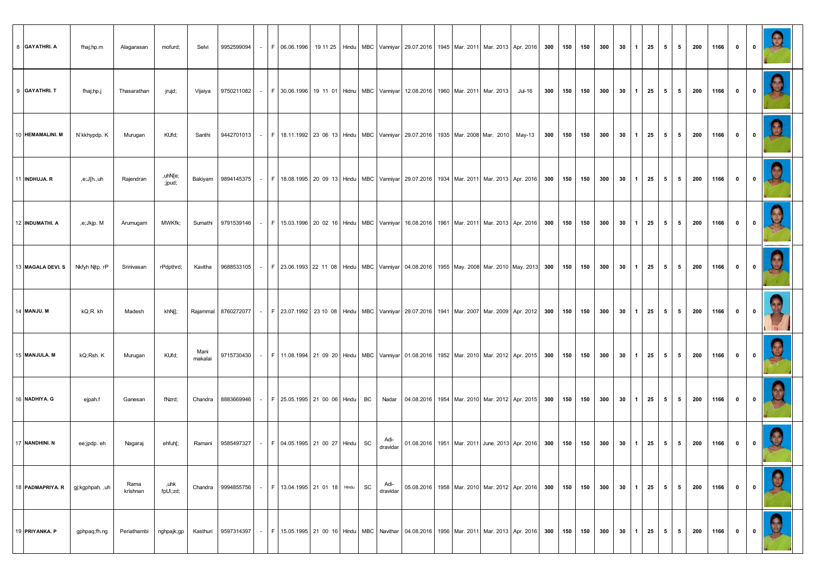| 8 GAYATHRI. A      | fhaj;hp.m       | Alagarasan       | mofurd;           | Selvi           | 9952599094   -   F   06.06.1996   19 11 25   Hindu   MBC   Vanniyar   29.07.2016   1945   Mar. 2011   Mar. 2013   Apr. 2016   300   150   150   300   30   1   25   5   5   5   200   1166                |  |                                            |  |           |                  |                                                                                |  |                                        |  |     |     |                                        |                |                |         |          | $\overline{\mathbf{0}}$ | 0                                                   |   |
|--------------------|-----------------|------------------|-------------------|-----------------|-----------------------------------------------------------------------------------------------------------------------------------------------------------------------------------------------------------|--|--------------------------------------------|--|-----------|------------------|--------------------------------------------------------------------------------|--|----------------------------------------|--|-----|-----|----------------------------------------|----------------|----------------|---------|----------|-------------------------|-----------------------------------------------------|---|
| 9 GAYATHRI. T      | fhaj;hp.j       | Thasarathan      | jrujd,            | Vijaiya         | 9750211082   -   F   30.06.1996   19 11 01   Hidnu   MBC   Vanniyar   12.08.2016   1960   Mar. 2011   Mar. 2013                                                                                           |  |                                            |  |           |                  |                                                                                |  | Jul-16 300 150 150 300 30 1 25 5 5 200 |  |     |     |                                        |                |                |         | 1166 I   | $\overline{\mathbf{0}}$ | $\overline{\phantom{0}}$ 0 $\overline{\phantom{0}}$ |   |
| 10 HEMAMALINI. M   | N`kkhypdp. K    | Murugan          | KUfd;             | Santhi          | 9442701013  -   F   18.11.1992   23 06 13   Hindu   MBC   Vanniyar   29.07.2016   1935   Mar. 2008   Mar. 2010   May-13   300   150   150   300   30   30   1   25   5   5                                |  |                                            |  |           |                  |                                                                                |  |                                        |  |     |     |                                        |                |                |         | 200 1166 | $\mathbf{0}$            | $\overline{\mathbf{0}}$                             |   |
| 11 INDHUJA. R      | e;J[h.,uh,      | Rajendran        | ,uhN[e;<br>;jpud, |                 | Bakiyam   9894145375   -   F   18.08.1995   20 09 13   Hindu   MBC   Vanniyar   29.07.2016   1934   Mar. 2011   Mar. 2013   Apr. 2016   300   150   150   300   30   30   1   25   5   5                  |  |                                            |  |           |                  |                                                                                |  |                                        |  |     |     |                                        |                |                |         | 200 1166 | $\overline{\mathbf{0}}$ | $\overline{\mathbf{0}}$                             |   |
| 12 INDUMATHI. A    | ,e;Jkjp. M      | Arumugam         | MWKfk;            |                 | Sumathi   9791539146   -   F   15.03.1996   20 02 16   Hindu   MBC   Vanniyar   16.08.2016   1961   Mar. 2011   Mar. 2013   Apr. 2016   300   150   150   300   30   1   25   5   5   200                 |  |                                            |  |           |                  |                                                                                |  |                                        |  |     |     |                                        |                |                |         | 1166     | $\mathbf{0}$            | $\overline{0}$                                      |   |
| 13 MAGALA DEVI. S  | Nkfyh Nitp. rP  | Srinivasan       | rPdpthrd;         | Kavitha         | 9688533105  -   F   23.06.1993   22 11 08   Hindu   MBC   Vanniyar   04.08.2016   1955   May. 2008  Mar. 2010   May. 2013  300   150   150   300   30   30   1   25   5   5   200   1166                  |  |                                            |  |           |                  |                                                                                |  |                                        |  |     |     |                                        |                |                |         |          | $\overline{\mathbf{0}}$ | $\overline{\mathbf{0}}$                             |   |
| <b>14 MANJU. M</b> | kQ:R. kh        | Madesh           | khNi];            |                 | Rajammal   8760272077           F   23.07.1992   23 10 08   Hindu   MBC   Vanniyar   29.07.2016   1941   Mar. 2007   Mar. 2009   Apr. 2012   300   150   150   300   30   1   25   5   5   200   1166   0 |  |                                            |  |           |                  |                                                                                |  |                                        |  |     |     |                                        |                |                |         |          |                         | $\overline{\mathbf{0}}$                             |   |
| 15 MANJULA. M      | kQ;Rsh. K       | Murugan          | KUfd;             | Mani<br>makalai | 9715730430   -   F   11.08.1994   21 09 20   Hindu   MBC   Vanniyar   01.08.2016   1952   Mar. 2010   Mar. 2012   Apr. 2015   300   150   150   300   150   300                                           |  |                                            |  |           |                  |                                                                                |  |                                        |  |     |     | $30 \mid 1 \mid 25 \mid 5 \mid 5 \mid$ |                |                |         | 200 1166 | $\overline{\mathbf{0}}$ | $\overline{\mathbf{0}}$                             |   |
| 16 NADHIYA. G      | ejpah.f         | Ganesan          | fNzrd;            |                 | Chandra 8883669946                                                                                                                                                                                        |  | -   F   25.05.1995   21 00 06   Hindu   BC |  |           |                  | Nadar 04.08.2016 1954 Mar. 2010 Mar. 2012 Apr. 2015 300 150                    |  |                                        |  | 150 | 300 | $30 \mid 1 \mid 25 \mid 5 \mid$        |                | 51             | 200     | 1166     | $\mathbf{0}$            | $\overline{\mathbf{0}}$                             |   |
| 17 NANDHINI. N     | ee;jpdp.eh      | Nagaraj          | ehfuh[;           | Ramani          | 9585497327 - F 04.05.1995 21 00 27 Hindu SC                                                                                                                                                               |  |                                            |  |           | Adi-<br>dravidar | 01.08.2016   1951   Mar. 2011   June. 2013   Apr. 2016   300   150   150   300 |  |                                        |  |     |     | $30 \mid 1 \mid 25 \mid$               |                |                | 5 5 200 | 1166     | $\mathbf{0}$            | $\mathbf{0}$                                        |   |
| 18 PADMAPRIYA. R   | gj;kgphpah. ,uh | Rama<br>krishnan | ,uhk<br>fpU\;zd;  |                 | Chandra 9994855756 - F 13.04.1995 21 01 18 Hindu                                                                                                                                                          |  |                                            |  | <b>SC</b> | Adi-<br>dravidar | 05.08.2016   1958   Mar. 2010   Mar. 2012   Apr. 2016   300   150              |  |                                        |  | 150 | 300 | $30 \mid 1 \mid 25 \mid 5 \mid$        |                | 51             | 200 l   | 1166     | $\mathbf{0}$            | $\overline{\mathbf{0}}$                             |   |
| 19 PRIYANKA. P     | gphpaq;fh.ng    | Periathambi      | nghpajk;gp        |                 | Kasthuri   9597314397   -   F   15.05.1995   21 00 16   Hindu   MBC   Navithar   04.08.2016   1956   Mar. 2011   Mar. 2013   Apr. 2016   300   150   150   300   300   30   1   25                        |  |                                            |  |           |                  |                                                                                |  |                                        |  |     |     |                                        | 5 <sup>1</sup> | 5 <sup>1</sup> |         | 200 1166 | $\mathbf{0}$            | $\overline{\mathbf{0}}$                             | 3 |